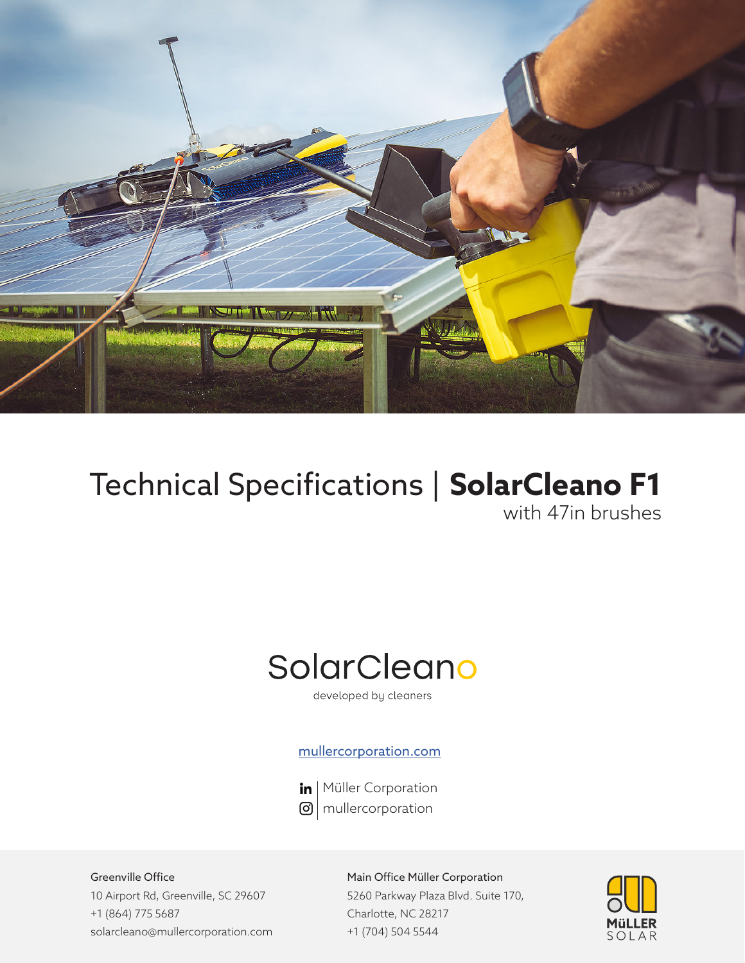

# Technical Specifications | **SolarCleano F1** with 47in brushes

# SolarCleano

developed by cleaners

### mullercorporation.com



in | Müller Corporation  $\Theta$  mullercorporation

Greenville Office 10 Airport Rd, Greenville, SC 29607 +1 (864) 775 5687 solarcleano@mullercorporation.com

Main Office Müller Corporation 5260 Parkway Plaza Blvd. Suite 170, Charlotte, NC 28217 +1 (704) 504 5544

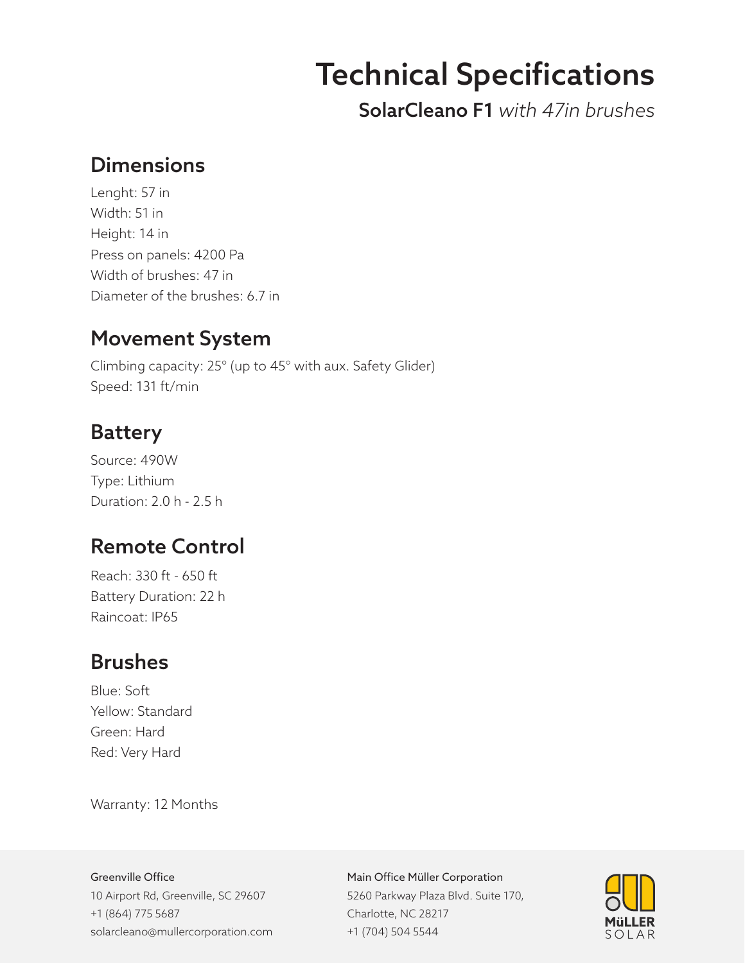# Technical Specifications

SolarCleano F1 *with 47in brushes*

## **Dimensions**

Lenght: 57 in Width: 51 in Height: 14 in Press on panels: 4200 Pa Width of brushes: 47 in Diameter of the brushes: 6.7 in

## Movement System

Climbing capacity: 25° (up to 45° with aux. Safety Glider) Speed: 131 ft/min

### **Battery**

Source: 490W Type: Lithium Duration: 2.0 h - 2.5 h

## Remote Control

Reach: 330 ft - 650 ft Battery Duration: 22 h Raincoat: IP65

## Brushes

Blue: Soft Yellow: Standard Green: Hard Red: Very Hard

Warranty: 12 Months

#### Greenville Office

10 Airport Rd, Greenville, SC 29607 +1 (864) 775 5687 solarcleano@mullercorporation.com

#### Main Office Müller Corporation

5260 Parkway Plaza Blvd. Suite 170, Charlotte, NC 28217 +1 (704) 504 5544

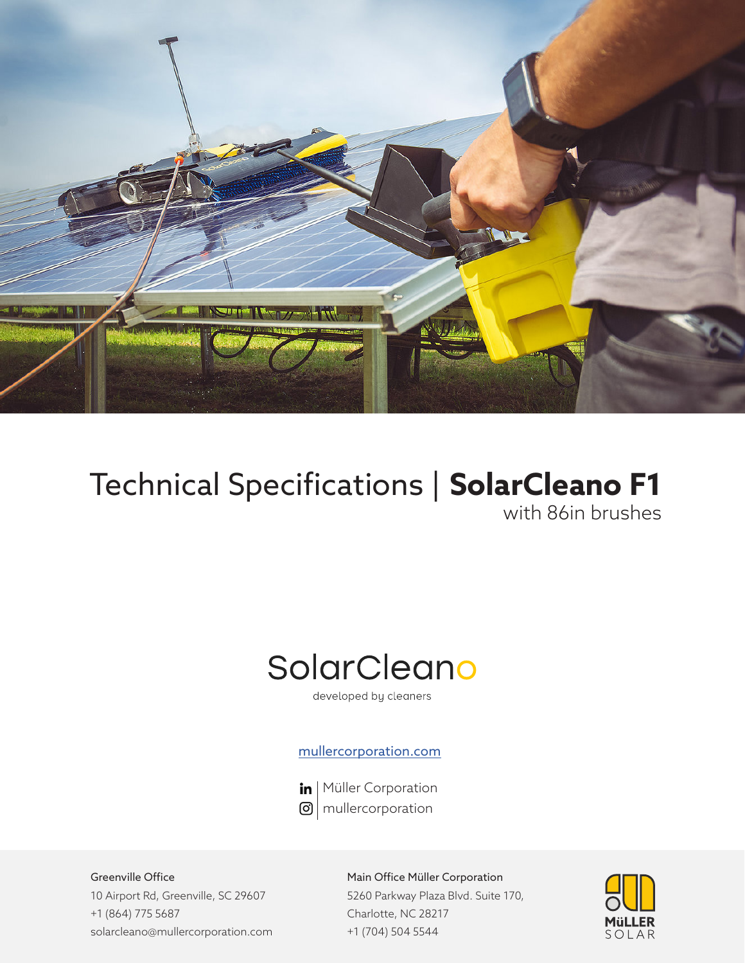

# Technical Specifications | **SolarCleano F1** with 86in brushes

# SolarCleano

developed by cleaners

### mullercorporation.com



in | Müller Corporation  $\Theta$  mullercorporation

Greenville Office 10 Airport Rd, Greenville, SC 29607 +1 (864) 775 5687 solarcleano@mullercorporation.com

Main Office Müller Corporation 5260 Parkway Plaza Blvd. Suite 170, Charlotte, NC 28217 +1 (704) 504 5544